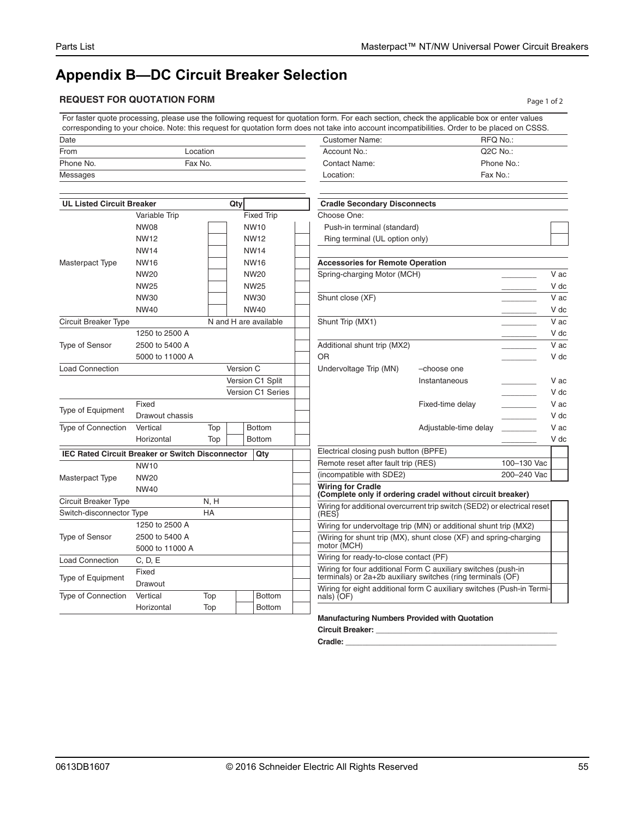## **Appendix B—DC Circuit Breaker Selection**

## **REQUEST FOR QUOTATION FORM Page 1 of 2**

For faster quote processing, please use the following request for quotation form. For each section, check the applicable box or enter values corresponding to your choice. Note: this request for quotation form does not take into account incompatibilities. Order to be placed on CSSS.

| Date                             |          | <b>Customer Name:</b>               | RFQ No.:              |
|----------------------------------|----------|-------------------------------------|-----------------------|
| From                             | Location | Account No.:                        | Q <sub>2</sub> C No.: |
| Phone No.                        | Fax No.  | <b>Contact Name:</b>                | Phone No.:            |
| Messages                         |          | Location:                           | Fax No.:              |
| <b>UL Listed Circuit Breaker</b> | Qty      | <b>Cradle Secondary Disconnects</b> |                       |

|                                                         |                 |                       | ∽∾y       |                   |                  |                                                                                                                              |                       |                            |  |
|---------------------------------------------------------|-----------------|-----------------------|-----------|-------------------|------------------|------------------------------------------------------------------------------------------------------------------------------|-----------------------|----------------------------|--|
|                                                         | Variable Trip   |                       |           | <b>Fixed Trip</b> |                  | Choose One:                                                                                                                  |                       |                            |  |
|                                                         | <b>NW08</b>     |                       |           | <b>NW10</b>       |                  | Push-in terminal (standard)                                                                                                  |                       |                            |  |
|                                                         | <b>NW12</b>     |                       |           | <b>NW12</b>       |                  | Ring terminal (UL option only)                                                                                               |                       |                            |  |
|                                                         | <b>NW14</b>     |                       |           | <b>NW14</b>       |                  |                                                                                                                              |                       |                            |  |
| Masterpact Type                                         | <b>NW16</b>     |                       |           | <b>NW16</b>       |                  | <b>Accessories for Remote Operation</b>                                                                                      |                       |                            |  |
|                                                         | <b>NW20</b>     |                       |           | <b>NW20</b>       |                  | Spring-charging Motor (MCH)                                                                                                  |                       |                            |  |
|                                                         | <b>NW25</b>     |                       |           | <b>NW25</b>       |                  |                                                                                                                              |                       |                            |  |
|                                                         | NW30            |                       |           | NW30              |                  | Shunt close (XF)                                                                                                             |                       |                            |  |
|                                                         | <b>NW40</b>     |                       |           | <b>NW40</b>       |                  |                                                                                                                              |                       |                            |  |
| Circuit Breaker Type                                    |                 | N and H are available |           |                   | Shunt Trip (MX1) |                                                                                                                              |                       |                            |  |
|                                                         | 1250 to 2500 A  |                       |           |                   |                  |                                                                                                                              |                       |                            |  |
| <b>Type of Sensor</b>                                   | 2500 to 5400 A  |                       |           |                   |                  | Additional shunt trip (MX2)                                                                                                  |                       |                            |  |
|                                                         | 5000 to 11000 A |                       |           |                   | OR               |                                                                                                                              |                       |                            |  |
| <b>Load Connection</b>                                  |                 |                       | Version C |                   |                  | Undervoltage Trip (MN)                                                                                                       | -choose one           |                            |  |
|                                                         |                 |                       |           | Version C1 Split  |                  |                                                                                                                              | Instantaneous         |                            |  |
|                                                         |                 |                       |           | Version C1 Series |                  |                                                                                                                              |                       |                            |  |
|                                                         | Fixed           |                       |           |                   |                  |                                                                                                                              | Fixed-time delay      | <u> Liberatura de la p</u> |  |
| <b>Type of Equipment</b>                                | Drawout chassis |                       |           |                   |                  |                                                                                                                              |                       |                            |  |
| <b>Type of Connection</b>                               | Vertical        | Top                   |           | <b>Bottom</b>     |                  |                                                                                                                              | Adjustable-time delay |                            |  |
|                                                         | Horizontal      | Top                   |           | <b>Bottom</b>     |                  |                                                                                                                              |                       |                            |  |
| <b>IEC Rated Circuit Breaker or Switch Disconnector</b> |                 |                       |           | Qty               |                  | Electrical closing push button (BPFE)                                                                                        |                       |                            |  |
|                                                         | <b>NW10</b>     |                       |           |                   |                  | Remote reset after fault trip (RES)                                                                                          |                       | 100-130 Vac                |  |
| Masterpact Type                                         | <b>NW20</b>     |                       |           |                   |                  | (incompatible with SDE2)                                                                                                     |                       | 200-240 Vac                |  |
|                                                         | <b>NW40</b>     |                       |           |                   |                  | <b>Wiring for Cradle</b><br>(Complete only if ordering cradel without circuit breaker)                                       |                       |                            |  |
| <b>Circuit Breaker Type</b>                             |                 | N, H                  |           |                   |                  |                                                                                                                              |                       |                            |  |
| Switch-disconnector Type                                |                 | HA                    |           |                   |                  | Wiring for additional overcurrent trip switch (SED2) or electrical reset<br>(RES)                                            |                       |                            |  |
|                                                         | 1250 to 2500 A  |                       |           |                   |                  | Wiring for undervoltage trip (MN) or additional shunt trip (MX2)                                                             |                       |                            |  |
| <b>Type of Sensor</b>                                   | 2500 to 5400 A  |                       |           |                   |                  | (Wiring for shunt trip (MX), shunt close (XF) and spring-charging                                                            |                       |                            |  |
|                                                         | 5000 to 11000 A |                       |           |                   |                  | motor (MCH)                                                                                                                  |                       |                            |  |
| <b>Load Connection</b>                                  | C, D, E         |                       |           |                   |                  | Wiring for ready-to-close contact (PF)                                                                                       |                       |                            |  |
|                                                         | Fixed           |                       |           |                   |                  | Wiring for four additional Form C auxiliary switches (push-in<br>terminals) or 2a+2b auxiliary switches (ring terminals (OF) |                       |                            |  |
| <b>Type of Equipment</b>                                | Drawout         |                       |           |                   |                  | Wiring for eight additional form C auxiliary switches (Push-in Termi                                                         |                       |                            |  |
| <b>Type of Connection</b>                               | Vertical        | Top                   |           | <b>Bottom</b>     |                  | nals) (OF)                                                                                                                   |                       |                            |  |
|                                                         | Horizontal      | Top                   |           | <b>Bottom</b>     |                  |                                                                                                                              |                       |                            |  |
|                                                         |                 |                       |           |                   |                  | <b>Manufacturing Numbers Provided with Quotation</b>                                                                         |                       |                            |  |

| Ring terminal (UL option only)                                                         |                       |             |      |  |  |
|----------------------------------------------------------------------------------------|-----------------------|-------------|------|--|--|
|                                                                                        |                       |             |      |  |  |
| <b>Accessories for Remote Operation</b>                                                |                       |             |      |  |  |
| Spring-charging Motor (MCH)                                                            |                       |             |      |  |  |
|                                                                                        |                       |             | V dc |  |  |
| Shunt close (XF)                                                                       |                       |             | V ac |  |  |
|                                                                                        |                       |             | V dc |  |  |
| Shunt Trip (MX1)                                                                       |                       |             | V ac |  |  |
|                                                                                        |                       |             | V dc |  |  |
| Additional shunt trip (MX2)                                                            |                       |             | V ac |  |  |
| OR                                                                                     |                       |             | V dc |  |  |
| Undervoltage Trip (MN)                                                                 | -choose one           |             |      |  |  |
|                                                                                        | Instantaneous         |             | V ac |  |  |
|                                                                                        |                       |             | V dc |  |  |
|                                                                                        | Fixed-time delay      |             | V ac |  |  |
|                                                                                        |                       |             | V dc |  |  |
|                                                                                        | Adjustable-time delay |             | V ac |  |  |
|                                                                                        |                       |             | V dc |  |  |
| Electrical closing push button (BPFE)                                                  |                       |             |      |  |  |
| Remote reset after fault trip (RES)                                                    | 100-130 Vac           |             |      |  |  |
| (incompatible with SDE2)                                                               |                       | 200-240 Vac |      |  |  |
| <b>Wiring for Cradle</b><br>(Complete only if ordering cradel without circuit breaker) |                       |             |      |  |  |
| Wiring for additional overcurrent trip switch (SED2) or electrical reset<br>(RES)      |                       |             |      |  |  |
| Wiring for undervoltage trip (MN) or additional shunt trip (MX2)                       |                       |             |      |  |  |
| (Wiring for shunt trip (MX), shunt close (XF) and spring-charging                      |                       |             |      |  |  |

**Circuit Breaker: \_\_\_\_\_\_\_\_\_\_\_\_\_\_\_\_\_\_\_\_\_\_\_\_\_\_\_\_\_\_\_\_\_\_\_\_\_\_\_\_\_\_\_ Cradle: \_\_\_\_\_\_\_\_\_\_\_\_\_\_\_\_\_\_\_\_\_\_\_\_\_\_\_\_\_\_\_\_\_\_\_\_\_\_\_\_\_\_\_\_\_\_\_\_\_\_**